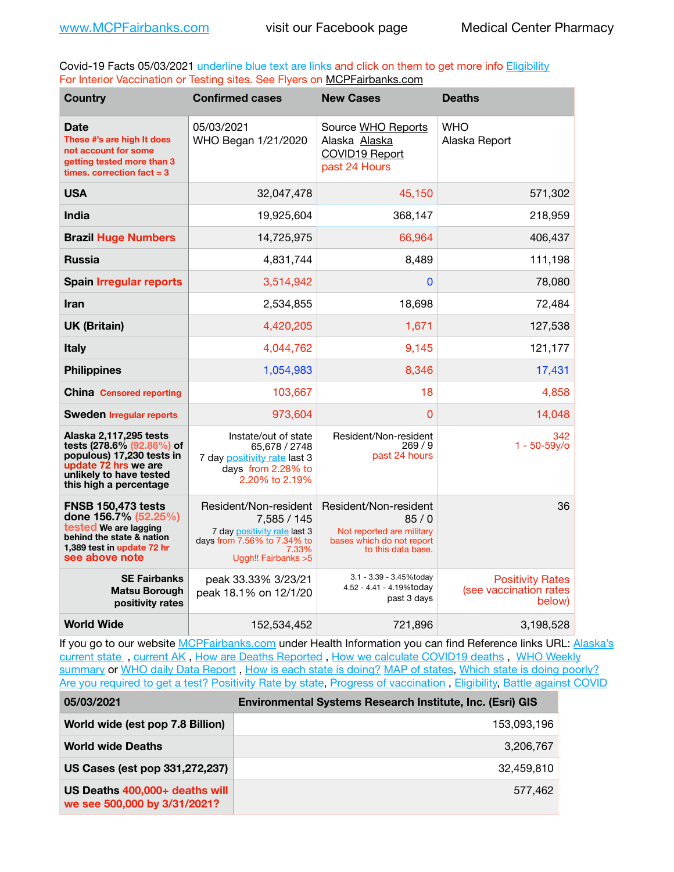Covid-19 Facts 05/03/2021 underline blue text are links and click on them to get more info **Eligibility** For Interior Vaccination or Testing sites. See Flyers on [MCPFairbanks.com](http://www.MCPFairbanks.com)

| <b>Country</b>                                                                                                                                                | <b>Confirmed cases</b>                                                                                                               | <b>New Cases</b>                                                                                              | <b>Deaths</b>                                               |
|---------------------------------------------------------------------------------------------------------------------------------------------------------------|--------------------------------------------------------------------------------------------------------------------------------------|---------------------------------------------------------------------------------------------------------------|-------------------------------------------------------------|
| <b>Date</b><br>These #'s are high It does<br>not account for some<br>getting tested more than 3<br>times, correction fact $= 3$                               | 05/03/2021<br>WHO Began 1/21/2020                                                                                                    | Source WHO Reports<br>Alaska Alaska<br>COVID19 Report<br>past 24 Hours                                        | WHO<br>Alaska Report                                        |
| <b>USA</b>                                                                                                                                                    | 32,047,478                                                                                                                           | 45,150                                                                                                        | 571,302                                                     |
| India                                                                                                                                                         | 19,925,604                                                                                                                           | 368,147                                                                                                       | 218,959                                                     |
| <b>Brazil Huge Numbers</b>                                                                                                                                    | 14,725,975                                                                                                                           | 66,964                                                                                                        | 406,437                                                     |
| <b>Russia</b>                                                                                                                                                 | 4,831,744                                                                                                                            | 8,489                                                                                                         | 111,198                                                     |
| <b>Spain Irregular reports</b>                                                                                                                                | 3,514,942                                                                                                                            | 0                                                                                                             | 78,080                                                      |
| <b>Iran</b>                                                                                                                                                   | 2,534,855                                                                                                                            | 18,698                                                                                                        | 72,484                                                      |
| <b>UK (Britain)</b>                                                                                                                                           | 4,420,205                                                                                                                            | 1.671                                                                                                         | 127,538                                                     |
| <b>Italy</b>                                                                                                                                                  | 4,044,762                                                                                                                            | 9,145                                                                                                         | 121,177                                                     |
| <b>Philippines</b>                                                                                                                                            | 1,054,983                                                                                                                            | 8,346                                                                                                         | 17,431                                                      |
| <b>China Censored reporting</b>                                                                                                                               | 103,667                                                                                                                              | 18                                                                                                            | 4,858                                                       |
| <b>Sweden Irregular reports</b>                                                                                                                               | 973,604                                                                                                                              | 0                                                                                                             | 14,048                                                      |
| Alaska 2,117,295 tests<br>tests (278.6% (92.86%) of<br>populous) 17,230 tests in<br>update 72 hrs we are<br>unlikely to have tested<br>this high a percentage | Instate/out of state<br>65.678 / 2748<br>7 day positivity rate last 3<br>days from 2.28% to<br>2.20% to 2.19%                        | Resident/Non-resident<br>269/9<br>past 24 hours                                                               | 342<br>$1 - 50 - 59v$ /o                                    |
| <b>FNSB 150,473 tests</b><br>done 156.7% (52.25%)<br>tested We are lagging<br>behind the state & nation<br>1,389 test in update 72 hr<br>see above note       | Resident/Non-resident<br>7,585 / 145<br>7 day positivity rate last 3<br>days from 7.56% to 7.34% to<br>7.33%<br>Uggh!! Fairbanks > 5 | Resident/Non-resident<br>85/0<br>Not reported are military<br>bases which do not report<br>to this data base. | 36                                                          |
| <b>SE Fairbanks</b><br><b>Matsu Borough</b><br>positivity rates                                                                                               | peak 33.33% 3/23/21<br>peak 18.1% on 12/1/20                                                                                         | 3.1 - 3.39 - 3.45%today<br>4.52 - 4.41 - 4.19%today<br>past 3 days                                            | <b>Positivity Rates</b><br>(see vaccination rates<br>below) |
| <b>World Wide</b>                                                                                                                                             | 152,534,452                                                                                                                          | 721,896                                                                                                       | 3,198,528                                                   |

If you go to our website [MCPFairbanks.com](http://www.MCPFairbanks.com) under Health Information you can find Reference links URL: Alaska's [current state](https://coronavirus-response-alaska-dhss.hub.arcgis.com) , [current AK](http://dhss.alaska.gov/dph/Epi/id/Pages/COVID-19/communications.aspx#cases) , [How are Deaths Reported](http://dhss.alaska.gov/dph/Epi/id/Pages/COVID-19/deathcounts.aspx) , [How we calculate COVID19 deaths](https://coronavirus-response-alaska-dhss.hub.arcgis.com/search?collection=Document&groupIds=41ccb3344ebc4bd682c74073eba21f42) , [WHO Weekly](http://www.who.int)  [summary](http://www.who.int) or [WHO daily Data Report](https://covid19.who.int/table), [How is each state is doing?](https://www.msn.com/en-us/news/us/state-by-state-coronavirus-news/ar-BB13E1PX?fbclid=IwAR0_OBJH7lSyTN3ug_MsOeFnNgB1orTa9OBgilKJ7dhnwlVvHEsptuKkj1c) [MAP of states,](https://www.nationalgeographic.com/science/graphics/graphic-tracking-coronavirus-infections-us?cmpid=org=ngp::mc=crm-email::src=ngp::cmp=editorial::add=SpecialEdition_20210305&rid=B9A6DF5992658E8E35CE023113CFEA4C) [Which state is doing poorly?](https://bestlifeonline.com/covid-outbreak-your-state/?utm_source=nsltr&utm_medium=email&utm_content=covid-outbreak-your-state&utm_campaign=launch) [Are you required to get a test?](http://dhss.alaska.gov/dph/Epi/id/SiteAssets/Pages/HumanCoV/Whattodoafteryourtest.pdf) [Positivity Rate by state](https://coronavirus.jhu.edu/testing/individual-states/alaska), Progress of vaccination, [Eligibility,](http://dhss.alaska.gov/dph/Epi/id/Pages/COVID-19/VaccineAvailability.aspx) [Battle against COVID](https://www.nationalgeographic.com/science/graphics/graphic-tracking-coronavirus-infections-us?cmpid=org=ngp::mc=crm-email::src=ngp::cmp=editorial::add=SpecialEdition_20210219&rid=B9A6DF5992658E8E35CE023113CFEA4C)

| 05/03/2021                                                     | <b>Environmental Systems Research Institute, Inc. (Esri) GIS</b> |  |
|----------------------------------------------------------------|------------------------------------------------------------------|--|
| World wide (est pop 7.8 Billion)                               | 153,093,196                                                      |  |
| <b>World wide Deaths</b>                                       | 3,206,767                                                        |  |
| US Cases (est pop 331,272,237)                                 | 32.459.810                                                       |  |
| US Deaths 400,000+ deaths will<br>we see 500,000 by 3/31/2021? | 577,462                                                          |  |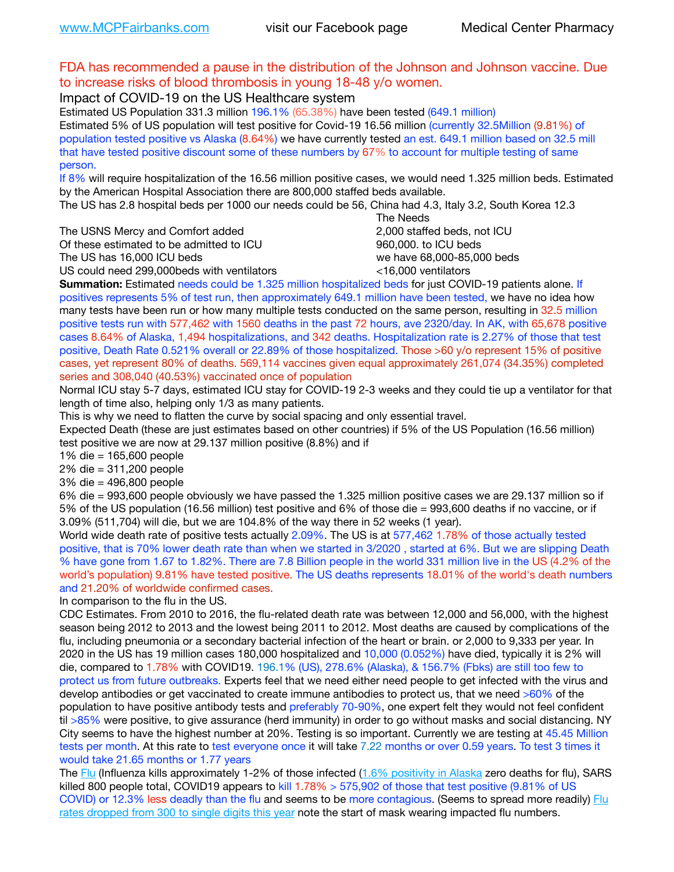## FDA has recommended a pause in the distribution of the Johnson and Johnson vaccine. Due to increase risks of blood thrombosis in young 18-48 y/o women.

Impact of COVID-19 on the US Healthcare system

Estimated US Population 331.3 million 196.1% (65.38%) have been tested (649.1 million) Estimated 5% of US population will test positive for Covid-19 16.56 million (currently 32.5Million (9.81%) of population tested positive vs Alaska (8.64%) we have currently tested an est. 649.1 million based on 32.5 mill that have tested positive discount some of these numbers by 67% to account for multiple testing of same person.

If 8% will require hospitalization of the 16.56 million positive cases, we would need 1.325 million beds. Estimated by the American Hospital Association there are 800,000 staffed beds available.

The US has 2.8 hospital beds per 1000 our needs could be 56, China had 4.3, Italy 3.2, South Korea 12.3

The USNS Mercy and Comfort added 2,000 staffed beds, not ICU

Of these estimated to be admitted to ICU **860,000**, to ICU beds

 The Needs The US has 16,000 ICU beds we have 68,000-85,000 beds

US could need 299,000 beds with ventilators  $\leq$ 16,000 ventilators

**Summation:** Estimated needs could be 1.325 million hospitalized beds for just COVID-19 patients alone. If positives represents 5% of test run, then approximately 649.1 million have been tested, we have no idea how many tests have been run or how many multiple tests conducted on the same person, resulting in 32.5 million positive tests run with 577,462 with 1560 deaths in the past 72 hours, ave 2320/day. In AK, with 65,678 positive cases 8.64% of Alaska, 1,494 hospitalizations, and 342 deaths. Hospitalization rate is 2.27% of those that test positive, Death Rate 0.521% overall or 22.89% of those hospitalized. Those >60 y/o represent 15% of positive cases, yet represent 80% of deaths. 569,114 vaccines given equal approximately 261,074 (34.35%) completed series and 308,040 (40.53%) vaccinated once of population

Normal ICU stay 5-7 days, estimated ICU stay for COVID-19 2-3 weeks and they could tie up a ventilator for that length of time also, helping only 1/3 as many patients.

This is why we need to flatten the curve by social spacing and only essential travel.

Expected Death (these are just estimates based on other countries) if 5% of the US Population (16.56 million) test positive we are now at 29.137 million positive (8.8%) and if

1% die = 165,600 people

2% die = 311,200 people

3% die = 496,800 people

6% die = 993,600 people obviously we have passed the 1.325 million positive cases we are 29.137 million so if 5% of the US population (16.56 million) test positive and 6% of those die = 993,600 deaths if no vaccine, or if 3.09% (511,704) will die, but we are 104.8% of the way there in 52 weeks (1 year).

World wide death rate of positive tests actually 2.09%. The US is at 577,462 1.78% of those actually tested positive, that is 70% lower death rate than when we started in 3/2020 , started at 6%. But we are slipping Death % have gone from 1.67 to 1.82%. There are 7.8 Billion people in the world 331 million live in the US (4.2% of the world's population) 9.81% have tested positive. The US deaths represents 18.01% of the world's death numbers and 21.20% of worldwide confirmed cases.

In comparison to the flu in the US.

CDC Estimates. From 2010 to 2016, the flu-related death rate was between 12,000 and 56,000, with the highest season being 2012 to 2013 and the lowest being 2011 to 2012. Most deaths are caused by complications of the flu, including pneumonia or a secondary bacterial infection of the heart or brain. or 2,000 to 9,333 per year. In 2020 in the US has 19 million cases 180,000 hospitalized and 10,000 (0.052%) have died, typically it is 2% will die, compared to 1.78% with COVID19. 196.1% (US), 278.6% (Alaska), & 156.7% (Fbks) are still too few to protect us from future outbreaks. Experts feel that we need either need people to get infected with the virus and develop antibodies or get vaccinated to create immune antibodies to protect us, that we need >60% of the population to have positive antibody tests and preferably 70-90%, one expert felt they would not feel confident til >85% were positive, to give assurance (herd immunity) in order to go without masks and social distancing. NY City seems to have the highest number at 20%. Testing is so important. Currently we are testing at 45.45 Million tests per month. At this rate to test everyone once it will take 7.22 months or over 0.59 years. To test 3 times it would take 21.65 months or 1.77 years

The [Flu](https://lnks.gd/l/eyJhbGciOiJIUzI1NiJ9.eyJidWxsZXRpbl9saW5rX2lkIjoxMDMsInVyaSI6ImJwMjpjbGljayIsImJ1bGxldGluX2lkIjoiMjAyMTAyMjYuMzYwNDA3NTEiLCJ1cmwiOiJodHRwczovL3d3dy5jZGMuZ292L2ZsdS93ZWVrbHkvb3ZlcnZpZXcuaHRtIn0.ePMA_hsZ-pTnhWSyg1gHvHWYTu2XceVOt0JejxvP1WE/s/500544915/br/98428119752-l) (Influenza kills approximately 1-2% of those infected ([1.6% positivity in Alaska](http://dhss.alaska.gov/dph/Epi/id/SiteAssets/Pages/influenza/trends/Snapshot.pdf) zero deaths for flu), SARS killed 800 people total, COVID19 appears to kill 1.78% > 575,902 of those that test positive (9.81% of US COVID) or 12.3% less deadly than the flu and seems to be more contagious. (Seems to spread more readily) Flu [rates dropped from 300 to single digits this year](https://lnks.gd/l/eyJhbGciOiJIUzI1NiJ9.eyJidWxsZXRpbl9saW5rX2lkIjoxMDEsInVyaSI6ImJwMjpjbGljayIsImJ1bGxldGluX2lkIjoiMjAyMTAyMjYuMzYwNDA3NTEiLCJ1cmwiOiJodHRwOi8vZGhzcy5hbGFza2EuZ292L2RwaC9FcGkvaWQvUGFnZXMvaW5mbHVlbnphL2ZsdWluZm8uYXNweCJ9.oOe3nt2fww6XpsNhb4FZfmtPfPa-irGaldpkURBJhSo/s/500544915/br/98428119752-l) note the start of mask wearing impacted flu numbers.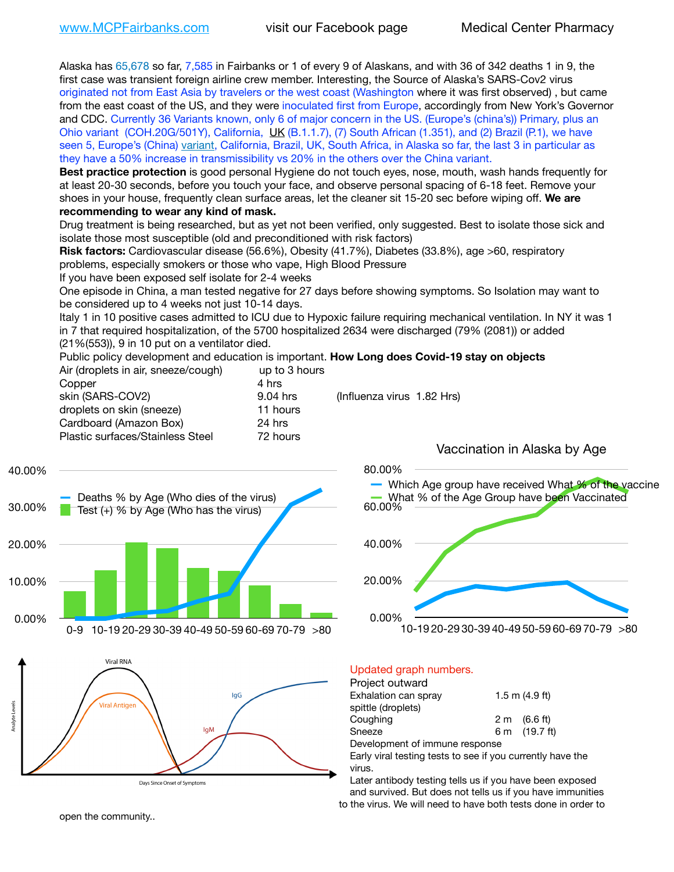Alaska has 65,678 so far, 7,585 in Fairbanks or 1 of every 9 of Alaskans, and with 36 of 342 deaths 1 in 9, the first case was transient foreign airline crew member. Interesting, the Source of Alaska's SARS-Cov2 virus originated not from East Asia by travelers or the west coast (Washington where it was first observed) , but came from the east coast of the US, and they were inoculated first from Europe, accordingly from New York's Governor and CDC. Currently 36 Variants known, only 6 of major concern in the US. (Europe's (china's)) Primary, plus an Ohio variant (COH.20G/501Y), California, [UK](https://www.cdc.gov/coronavirus/2019-ncov/transmission/variant-cases.html) (B.1.1.7), (7) South African (1.351), and (2) Brazil (P.1), we have seen 5, Europe's (China) [variant,](https://www.webmd.com/lung/news/20210318/cdc-who-create-threat-levels-for-covid-variants?ecd=wnl_cvd_031921&ctr=wnl-cvd-031921&mb=kYbf7DsHb7YGjh/1RUkcAW0T6iorImAU1TDZh18RYs0=_Support_titleLink_2) California, Brazil, UK, South Africa, in Alaska so far, the last 3 in particular as they have a 50% increase in transmissibility vs 20% in the others over the China variant.

**Best practice protection** is good personal Hygiene do not touch eyes, nose, mouth, wash hands frequently for at least 20-30 seconds, before you touch your face, and observe personal spacing of 6-18 feet. Remove your shoes in your house, frequently clean surface areas, let the cleaner sit 15-20 sec before wiping off. **We are recommending to wear any kind of mask.**

Drug treatment is being researched, but as yet not been verified, only suggested. Best to isolate those sick and isolate those most susceptible (old and preconditioned with risk factors)

**Risk factors:** Cardiovascular disease (56.6%), Obesity (41.7%), Diabetes (33.8%), age >60, respiratory problems, especially smokers or those who vape, High Blood Pressure

If you have been exposed self isolate for 2-4 weeks

One episode in China, a man tested negative for 27 days before showing symptoms. So Isolation may want to be considered up to 4 weeks not just 10-14 days.

Italy 1 in 10 positive cases admitted to ICU due to Hypoxic failure requiring mechanical ventilation. In NY it was 1 in 7 that required hospitalization, of the 5700 hospitalized 2634 were discharged (79% (2081)) or added (21%(553)), 9 in 10 put on a ventilator died.

Public policy development and education is important. **How Long does Covid-19 stay on objects**

| (It |
|-----|
|     |
|     |
|     |
|     |

nfluenza virus 1.82 Hrs)







Vaccination in Alaska by Age

10-19 20-29 30-39 40-49 50-59 60-69 70-79 >80

## Updated graph numbers.

### Project outward

| Exhalation can spray           | $1.5$ m $(4.9$ ft)     |
|--------------------------------|------------------------|
| spittle (droplets)             |                        |
| Coughing                       | $2 \text{ m}$ (6.6 ft) |
| Sneeze                         | 6 m (19.7 ft)          |
| Development of immune response |                        |

Early viral testing tests to see if you currently have the virus.

Later antibody testing tells us if you have been exposed and survived. But does not tells us if you have immunities to the virus. We will need to have both tests done in order to

open the community..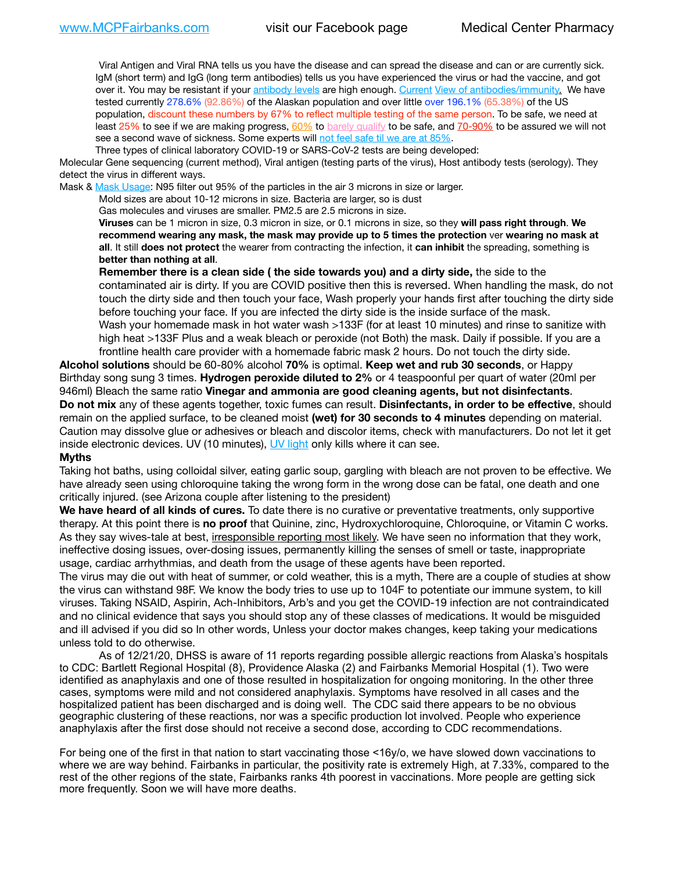Viral Antigen and Viral RNA tells us you have the disease and can spread the disease and can or are currently sick. IgM (short term) and IgG (long term antibodies) tells us you have experienced the virus or had the vaccine, and got over it. You may be resistant if your [antibody levels](https://www.cdc.gov/coronavirus/2019-ncov/lab/resources/antibody-tests.html) are high enough. [Current](https://l.facebook.com/l.php?u=https://www.itv.com/news/2020-10-26/covid-19-antibody-levels-reduce-over-time-study-finds?fbclid=IwAR3Dapzh1qIH1EIOdUQI2y8THf7jfA4KBCaJz8Qg-8xe1YsrR4nsAHDIXSY&h=AT30nut8pkqp0heVuz5W2rT2WFFm-2Ab52BsJxZZCNlGsX58IpPkuVEPULbIUV_M16MAukx1Kwb657DPXxsgDN1rpOQ4gqBtQsmVYiWpnHPJo2RQsU6CPMd14lgLnQnFWxfVi6zvmw&__tn__=-UK-R&c%5B0%5D=AT1GaRAfR_nGAyqcn7TI1-PpvqOqEKXHnz6TDWvRStMnOSH7boQDvTiwTOc6VId9UES6LKiOmm2m88wKCoolkJyOFvakt2Z1Mw8toYWGGoWW23r0MNVBl7cYJXB_UOvGklNHaNnaNr1_S7NhT3BSykNOBg) [View of antibodies/immunity](https://www.livescience.com/antibodies.html)[.](https://www.itv.com/news/2020-10-26/covid-19-antibody-levels-reduce-over-time-study-finds) We have tested currently 278.6% (92.86%) of the Alaskan population and over little over 196.1% (65.38%) of the US population, discount these numbers by 67% to reflect multiple testing of the same person. To be safe, we need at least 25% to see if we are making progress, [60%](https://www.jhsph.edu/covid-19/articles/achieving-herd-immunity-with-covid19.html) to [barely qualify](https://www.nature.com/articles/d41586-020-02948-4) to be safe, and [70-90%](https://www.mayoclinic.org/herd-immunity-and-coronavirus/art-20486808) to be assured we will not see a second wave of sickness. Some experts will [not feel safe til we are at 85%.](https://www.bannerhealth.com/healthcareblog/teach-me/what-is-herd-immunity)

Three types of clinical laboratory COVID-19 or SARS-CoV-2 tests are being developed:

Molecular Gene sequencing (current method), Viral antigen (testing parts of the virus), Host antibody tests (serology). They detect the virus in different ways.

Mask & [Mask Usage:](https://www.nationalgeographic.com/history/2020/03/how-cities-flattened-curve-1918-spanish-flu-pandemic-coronavirus/) N95 filter out 95% of the particles in the air 3 microns in size or larger.

Mold sizes are about 10-12 microns in size. Bacteria are larger, so is dust

Gas molecules and viruses are smaller. PM2.5 are 2.5 microns in size.

**Viruses** can be 1 micron in size, 0.3 micron in size, or 0.1 microns in size, so they **will pass right through**. **We recommend wearing any mask, the mask may provide up to 5 times the protection** ver **wearing no mask at all**. It still **does not protect** the wearer from contracting the infection, it **can inhibit** the spreading, something is **better than nothing at all**.

**Remember there is a clean side ( the side towards you) and a dirty side,** the side to the contaminated air is dirty. If you are COVID positive then this is reversed. When handling the mask, do not touch the dirty side and then touch your face, Wash properly your hands first after touching the dirty side before touching your face. If you are infected the dirty side is the inside surface of the mask. Wash your homemade mask in hot water wash >133F (for at least 10 minutes) and rinse to sanitize with high heat >133F Plus and a weak bleach or peroxide (not Both) the mask. Daily if possible. If you are a frontline health care provider with a homemade fabric mask 2 hours. Do not touch the dirty side.

**Alcohol solutions** should be 60-80% alcohol **70%** is optimal. **Keep wet and rub 30 seconds**, or Happy Birthday song sung 3 times. **Hydrogen peroxide diluted to 2%** or 4 teaspoonful per quart of water (20ml per 946ml) Bleach the same ratio **Vinegar and ammonia are good cleaning agents, but not disinfectants**. **Do not mix** any of these agents together, toxic fumes can result. **Disinfectants, in order to be effective**, should remain on the applied surface, to be cleaned moist **(wet) for 30 seconds to 4 minutes** depending on material. Caution may dissolve glue or adhesives or bleach and discolor items, check with manufacturers. Do not let it get inside electronic devices. UV (10 minutes), [UV light](http://www.docreviews.me/best-uv-boxes-2020/?fbclid=IwAR3bvFtXB48OoBBSvYvTEnKuHNPbipxM6jUo82QUSw9wckxjC7wwRZWabGw) only kills where it can see.

#### **Myths**

Taking hot baths, using colloidal silver, eating garlic soup, gargling with bleach are not proven to be effective. We have already seen using chloroquine taking the wrong form in the wrong dose can be fatal, one death and one critically injured. (see Arizona couple after listening to the president)

**We have heard of all kinds of cures.** To date there is no curative or preventative treatments, only supportive therapy. At this point there is **no proof** that Quinine, zinc, Hydroxychloroquine, Chloroquine, or Vitamin C works. As they say wives-tale at best, irresponsible reporting most likely. We have seen no information that they work, ineffective dosing issues, over-dosing issues, permanently killing the senses of smell or taste, inappropriate usage, cardiac arrhythmias, and death from the usage of these agents have been reported.

The virus may die out with heat of summer, or cold weather, this is a myth, There are a couple of studies at show the virus can withstand 98F. We know the body tries to use up to 104F to potentiate our immune system, to kill viruses. Taking NSAID, Aspirin, Ach-Inhibitors, Arb's and you get the COVID-19 infection are not contraindicated and no clinical evidence that says you should stop any of these classes of medications. It would be misguided and ill advised if you did so In other words, Unless your doctor makes changes, keep taking your medications unless told to do otherwise.

As of 12/21/20, DHSS is aware of 11 reports regarding possible allergic reactions from Alaska's hospitals to CDC: Bartlett Regional Hospital (8), Providence Alaska (2) and Fairbanks Memorial Hospital (1). Two were identified as anaphylaxis and one of those resulted in hospitalization for ongoing monitoring. In the other three cases, symptoms were mild and not considered anaphylaxis. Symptoms have resolved in all cases and the hospitalized patient has been discharged and is doing well. The CDC said there appears to be no obvious geographic clustering of these reactions, nor was a specific production lot involved. People who experience anaphylaxis after the first dose should not receive a second dose, according to CDC recommendations.

For being one of the first in that nation to start vaccinating those <16y/o, we have slowed down vaccinations to where we are way behind. Fairbanks in particular, the positivity rate is extremely High, at 7.33%, compared to the rest of the other regions of the state, Fairbanks ranks 4th poorest in vaccinations. More people are getting sick more frequently. Soon we will have more deaths.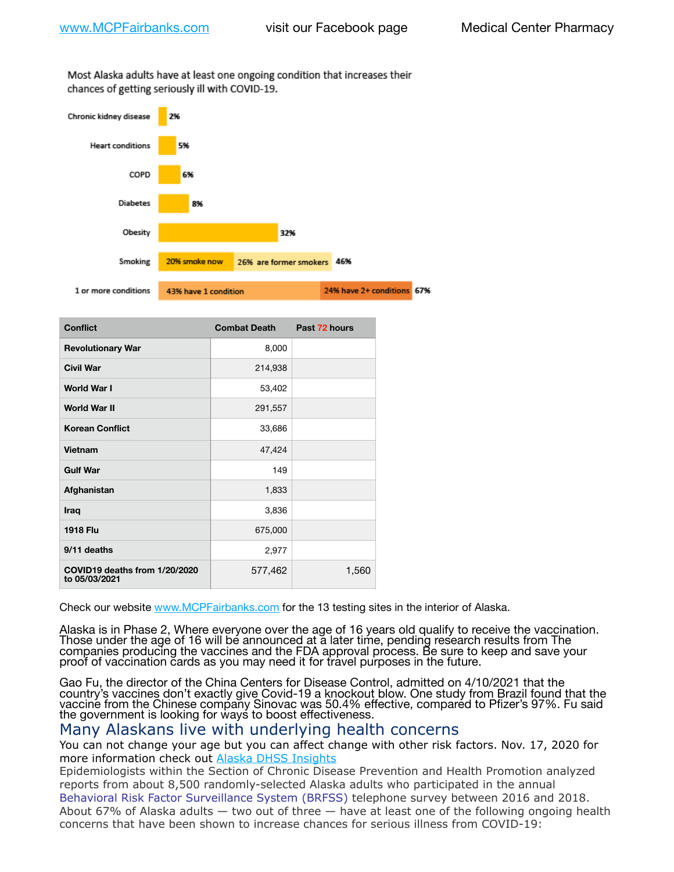Most Alaska adults have at least one ongoing condition that increases their chances of getting seriously ill with COVID-19.



| <b>Conflict</b>                                | <b>Combat Death</b> | Past 72 hours |
|------------------------------------------------|---------------------|---------------|
| <b>Revolutionary War</b>                       | 8,000               |               |
| <b>Civil War</b>                               | 214,938             |               |
| <b>World War I</b>                             | 53,402              |               |
| <b>World War II</b>                            | 291,557             |               |
| <b>Korean Conflict</b>                         | 33,686              |               |
| Vietnam                                        | 47,424              |               |
| <b>Gulf War</b>                                | 149                 |               |
| Afghanistan                                    | 1,833               |               |
| Iraq                                           | 3,836               |               |
| <b>1918 Flu</b>                                | 675,000             |               |
| 9/11 deaths                                    | 2,977               |               |
| COVID19 deaths from 1/20/2020<br>to 05/03/2021 | 577,462             | 1,560         |

Check our website [www.MCPFairbanks.com](http://www.MCPFairbanks.com) for the 13 testing sites in the interior of Alaska.

Alaska is in Phase 2, Where everyone over the age of 16 years old qualify to receive the vaccination. Those under the age of 16 will be announced at a later time, pending research results from The companies producing the vaccines and the FDA approval process. Be sure to keep and save your proof of vaccination cards as you may need it for travel purposes in the future.

Gao Fu, the director of the China Centers for Disease Control, admitted on 4/10/2021 that the country's vaccines don't exactly give Covid-19 a knockout blow. One study from Brazil found that the vaccine from the Chinese company Sinovac was 50.4% effective, compared to Pfizer's 97%. Fu said the government is looking for ways to boost effectiveness.

## Many Alaskans live with underlying health concerns

You can not change your age but you can affect change with other risk factors. Nov. 17, 2020 for more information check out [Alaska DHSS Insights](http://dhss.alaska.gov/dph/Epi/id/Pages/COVID-19/blog/20201117.aspx)

Epidemiologists within the Section of Chronic Disease Prevention and Health Promotion analyzed reports from about 8,500 randomly-selected Alaska adults who participated in the annual [Behavioral Risk Factor Surveillance System \(BRFSS\)](http://dhss.alaska.gov/dph/Chronic/Pages/brfss/default.aspx) telephone survey between 2016 and 2018. About 67% of Alaska adults — two out of three — have at least one of the following ongoing health concerns that have been shown to increase chances for serious illness from COVID-19: